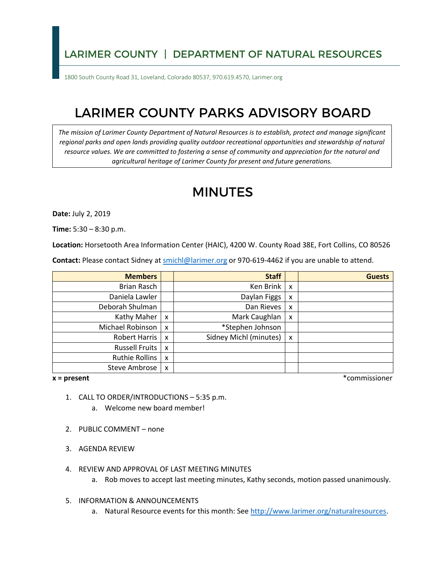## LARIMER COUNTY | DEPARTMENT OF NATURAL RESOURCES

1800 South County Road 31, Loveland, Colorado 80537, 970.619.4570, Larimer.org

# LARIMER COUNTY PARKS ADVISORY BOARD

*The mission of Larimer County Department of Natural Resources is to establish, protect and manage significant regional parks and open lands providing quality outdoor recreational opportunities and stewardship of natural resource values. We are committed to fostering a sense of community and appreciation for the natural and agricultural heritage of Larimer County for present and future generations.* 

# MINUTES

**Date:** July 2, 2019

**Time:** 5:30 – 8:30 p.m.

**Location:** Horsetooth Area Information Center (HAIC), 4200 W. County Road 38E, Fort Collins, CO 80526

Contact: Please contact Sidney at **smichl@larimer.org** or 970-619-4462 if you are unable to attend.

| <b>Members</b>        |                           | <b>Staff</b>           |              | <b>Guests</b> |
|-----------------------|---------------------------|------------------------|--------------|---------------|
| Brian Rasch           |                           | Ken Brink              | $\mathsf{x}$ |               |
| Daniela Lawler        |                           | Daylan Figgs           | x            |               |
| Deborah Shulman       |                           | Dan Rieves             | X            |               |
| Kathy Maher           | $\boldsymbol{\mathsf{x}}$ | Mark Caughlan          | x            |               |
| Michael Robinson      | X                         | *Stephen Johnson       |              |               |
| Robert Harris         | $\boldsymbol{\mathsf{x}}$ | Sidney Michl (minutes) | X            |               |
| Russell Fruits        | $\boldsymbol{\mathsf{x}}$ |                        |              |               |
| <b>Ruthie Rollins</b> | $\boldsymbol{\mathsf{x}}$ |                        |              |               |
| <b>Steve Ambrose</b>  | X                         |                        |              |               |

#### $x = present$

**x = present** \*commissioner

- 1. CALL TO ORDER/INTRODUCTIONS 5:35 p.m.
	- a. Welcome new board member!
- 2. PUBLIC COMMENT none
- 3. AGENDA REVIEW
- 4. REVIEW AND APPROVAL OF LAST MEETING MINUTES
	- a. Rob moves to accept last meeting minutes, Kathy seconds, motion passed unanimously.
- 5. INFORMATION & ANNOUNCEMENTS
	- a. Natural Resource events for this month: See [http://www.larimer.org/naturalresources.](http://www.larimer.org/naturalresources)